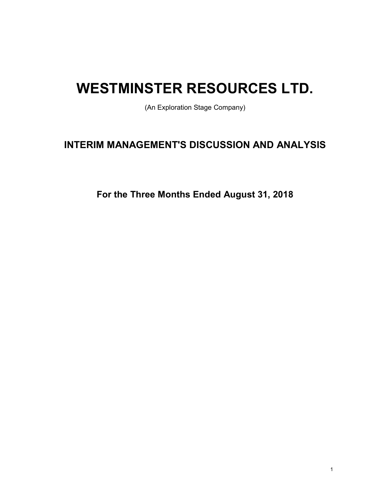# WESTMINSTER RESOURCES LTD.

(An Exploration Stage Company)

# INTERIM MANAGEMENT'S DISCUSSION AND ANALYSIS

For the Three Months Ended August 31, 2018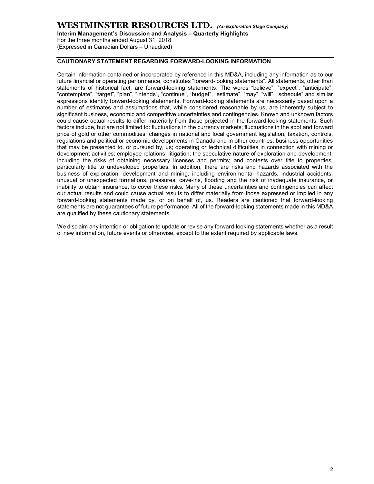Interim Management's Discussion and Analysis – Quarterly Highlights

For the three months ended August 31, 2018 (Expressed in Canadian Dollars – Unaudited)

#### CAUTIONARY STATEMENT REGARDING FORWARD-LOOKING INFORMATION

Certain information contained or incorporated by reference in this MD&A, including any information as to our future financial or operating performance, constitutes "forward-looking statements". All statements, other than statements of historical fact, are forward-looking statements. The words "believe", "expect", "anticipate", "contemplate", "target", "plan", "intends", "continue", "budget", "estimate", "may", "will", "schedule" and similar expressions identify forward-looking statements. Forward-looking statements are necessarily based upon a number of estimates and assumptions that, while considered reasonable by us, are inherently subject to significant business, economic and competitive uncertainties and contingencies. Known and unknown factors could cause actual results to differ materially from those projected in the forward-looking statements. Such factors include, but are not limited to: fluctuations in the currency markets; fluctuations in the spot and forward price of gold or other commodities; changes in national and local government legislation, taxation, controls, regulations and political or economic developments in Canada and in other countries; business opportunities that may be presented to, or pursued by, us; operating or technical difficulties in connection with mining or development activities; employee relations; litigation; the speculative nature of exploration and development, including the risks of obtaining necessary licenses and permits; and contests over title to properties, particularly title to undeveloped properties. In addition, there are risks and hazards associated with the business of exploration, development and mining, including environmental hazards, industrial accidents, unusual or unexpected formations, pressures, cave-ins, flooding and the risk of inadequate insurance, or inability to obtain insurance, to cover these risks. Many of these uncertainties and contingencies can affect our actual results and could cause actual results to differ materially from those expressed or implied in any forward-looking statements made by, or on behalf of, us. Readers are cautioned that forward-looking statements are not guarantees of future performance. All of the forward-looking statements made in this MD&A are qualified by these cautionary statements.

We disclaim any intention or obligation to update or revise any forward-looking statements whether as a result of new information, future events or otherwise, except to the extent required by applicable laws.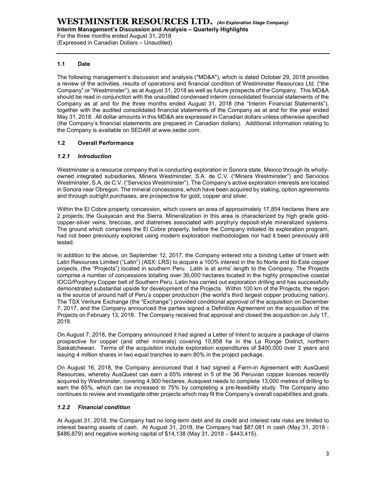For the three months ended August 31, 2018 (Expressed in Canadian Dollars – Unaudited)

#### 1.1 Date

The following management's discussion and analysis ("MD&A"), which is dated October 29, 2018 provides a review of the activities, results of operations and financial condition of Westminster Resources Ltd. ("the Company" or "Westminster"), as at August 31, 2018 as well as future prospects of the Company. This MD&A should be read in conjunction with the unaudited condensed interim consolidated financial statements of the Company as at and for the three months ended August 31, 2018 (the "Interim Financial Statements"), together with the audited consolidated financial statements of the Company as at and for the year ended May 31, 2018. All dollar amounts in this MD&A are expressed in Canadian dollars unless otherwise specified (the Company's financial statements are prepared in Canadian dollars). Additional information relating to the Company is available on SEDAR at www.sedar.com.

#### 1.2 Overall Performance

#### 1.2.1 Introduction

Westminster is a resource company that is conducting exploration in Sonora state, Mexico through its whollyowned integrated subsidiaries, Minera Westminster, S.A. de C.V. ("Minera Westminster") and Servicios Westminster, S.A. de C.V. ("Servicios Westminster"). The Company's active exploration interests are located in Sonora near Obregon. The mineral concessions, which have been acquired by staking, option agreements and through outright purchases, are prospective for gold, copper and silver.

Within the El Cobre property concession, which covers an area of approximately 17,854 hectares there are 2 projects; the Guayacan and the Sierra. Mineralization in this area is characterized by high grade goldcopper-silver veins, breccias, and diatremes associated with porphyry deposit-style mineralized systems. The ground which comprises the El Cobre property, before the Company initiated its exploration program, had not been previously explored using modern exploration methodologies nor had it been previously drill tested.

In addition to the above, on September 12, 2017, the Company entered into a binding Letter of Intent with Latin Resources Limited ("Latin") (ASX: LRS) to acquire a 100% interest in the Ilo Norte and Ilo Este copper projects, (the "Projects") located in southern Peru. Latin is at arms' length to the Company. The Projects comprise a number of concessions totalling over 36,000 hectares located in the highly prospective coastal IOCG/Porphyry Copper belt of Southern Peru. Latin has carried out exploration drilling and has successfully demonstrated substantial upside for development of the Projects. Within 100 km of the Projects, the region is the source of around half of Peru's copper production (the world's third largest copper producing nation). The TSX Venture Exchange (the "Exchange") provided conditional approval of the acquisition on December 7, 2017, and the Company announced the parties signed a Definitive Agreement on the acquisition of the Projects on February 13, 2018. The Company received final approval and closed the acquisition on July 17, 2018.

On August 7, 2018, the Company announced it had signed a Letter of Intent to acquire a package of claims prospective for copper (and other minerals) covering 10,858 ha in the La Ronge District, northern Saskatchewan. Terms of the acquisition include exploration expenditures of \$400,000 over 3 years and issuing 4 million shares in two equal tranches to earn 80% in the project package.

On August 16, 2018, the Company announced that it had signed a Farm-in Agreement with AusQuest Resources, whereby AusQuest can earn a 65% interest in 5 of the 36 Peruvian copper licences recently acquired by Westminster, covering 4,900 hectares. Ausquest needs to complete 13,000 metres of drilling to earn the 65%, which can be increased to 75% by completing a pre-feasibility study. The Company also continues to review and investigate other projects which may fit the Company's overall capabilities and goals.

#### 1.2.2 Financial condition

At August 31, 2018, the Company had no long-term debt and its credit and interest rate risks are limited to interest bearing assets of cash. At August 31, 2018, the Company had \$87,081 in cash (May 31, 2018 - \$486,879) and negative working capital of \$14,138 (May 31, 2018 – \$443,415).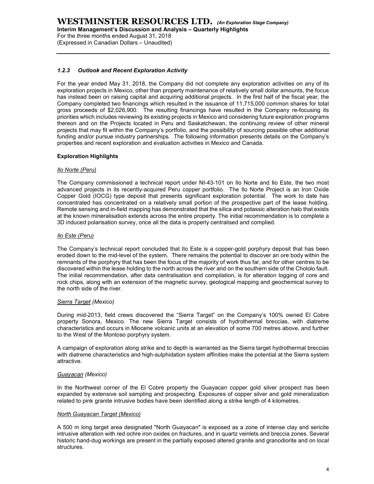For the three months ended August 31, 2018 (Expressed in Canadian Dollars – Unaudited)

#### 1.2.3 Outlook and Recent Exploration Activity

For the year ended May 31, 2018, the Company did not complete any exploration activities on any of its exploration projects in Mexico, other than property maintenance of relatively small dollar amounts, the focus has instead been on raising capital and acquiring additional projects. In the first half of the fiscal year, the Company completed two financings which resulted in the issuance of 11,715,000 common shares for total gross proceeds of \$2,026,900. The resulting financings have resulted in the Company re-focusing its priorities which includes reviewing its existing projects in Mexico and considering future exploration programs thereon and on the Projects located in Peru and Saskatchewan, the continuing review of other mineral projects that may fit within the Company's portfolio, and the possibility of sourcing possible other additional funding and/or pursue industry partnerships. The following information presents details on the Company's properties and recent exploration and evaluation activities in Mexico and Canada.

#### Exploration Highlights

#### Ilo Norte (Peru)

The Company commissioned a technical report under NI-43-101 on Ilo Norte and Ilo Este, the two most advanced projects in its recently-acquired Peru copper portfolio. The Ilo Norte Project is an Iron Oxide Copper Gold (IOCG) type deposit that presents significant exploration potential. The work to date has concentrated has concentrated on a relatively small portion of the prospective part of the lease holding. Remote sensing and in-field mapping has demonstrated that the silica and potassic alteration halo that exists at the known mineralisation extends across the entire property. The initial recommendation is to complete a 3D induced polarisation survey, once all the data is properly centralised and complied.

#### Ilo Este (Peru)

The Company's technical report concluded that Ilo Este is a copper-gold porphyry deposit that has been eroded down to the mid-level of the system. There remains the potential to discover an ore body within the remnants of the porphyry that has been the focus of the majority of work thus far, and for other centres to be discovered within the lease holding to the north across the river and on the southern side of the Chololo fault. The initial recommendation, after data centralisation and compilation, is for alteration logging of core and rock chips, along with an extension of the magnetic survey, geological mapping and geochemical survey to the north side of the river.

#### Sierra Target (Mexico)

During mid-2013, field crews discovered the "Sierra Target" on the Company's 100% owned El Cobre property Sonora, Mexico. The new Sierra Target consists of hydrothermal breccias, with diatreme characteristics and occurs in Miocene volcanic units at an elevation of some 700 metres above, and further to the West of the Montoso porphyry system.

A campaign of exploration along strike and to depth is warranted as the Sierra target hydrothermal breccias with diatreme characteristics and high-sulphidation system affinities make the potential at the Sierra system attractive.

#### Guayacan (Mexico)

In the Northwest corner of the El Cobre property the Guayacan copper gold silver prospect has been expanded by extensive soil sampling and prospecting. Exposures of copper silver and gold mineralization related to pink granite intrusive bodies have been identified along a strike length of 4 kilometres.

#### North Guayacan Target (Mexico)

A 500 m long target area designated "North Guayacan" is exposed as a zone of intense clay and sericite intrusive alteration with red ochre iron oxides on fractures, and in quartz veinlets and breccia zones. Several historic hand-dug workings are present in the partially exposed altered granite and granodiorite and on local structures.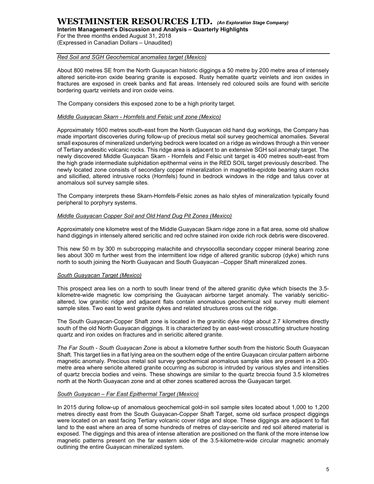Interim Management's Discussion and Analysis – Quarterly Highlights For the three months ended August 31, 2018

(Expressed in Canadian Dollars – Unaudited)

#### Red Soil and SGH Geochemical anomalies target (Mexico)

About 800 metres SE from the North Guayacan historic diggings a 50 metre by 200 metre area of intensely altered sericite-iron oxide bearing granite is exposed. Rusty hematite quartz veinlets and iron oxides in fractures are exposed in creek banks and flat areas. Intensely red coloured soils are found with sericite bordering quartz veinlets and iron oxide veins.

The Company considers this exposed zone to be a high priority target.

#### Middle Guayacan Skarn - Hornfels and Felsic unit zone (Mexico)

Approximately 1600 metres south-east from the North Guayacan old hand dug workings, the Company has made important discoveries during follow-up of precious metal soil survey geochemical anomalies. Several small exposures of mineralized underlying bedrock were located on a ridge as windows through a thin veneer of Tertiary andesitic volcanic rocks. This ridge area is adjacent to an extensive SGH soil anomaly target. The newly discovered Middle Guayacan Skarn - Hornfels and Felsic unit target is 400 metres south-east from the high grade intermediate sulphidation epithermal veins in the RED SOIL target previously described. The newly located zone consists of secondary copper mineralization in magnetite-epidote bearing skarn rocks and silicified, altered intrusive rocks (Hornfels) found in bedrock windows in the ridge and talus cover at anomalous soil survey sample sites.

The Company interprets these Skarn-Hornfels-Felsic zones as halo styles of mineralization typically found peripheral to porphyry systems.

#### Middle Guayacan Copper Soil and Old Hand Dug Pit Zones (Mexico)

Approximately one kilometre west of the Middle Guayacan Skarn ridge zone in a flat area, some old shallow hand diggings in intensely altered sericitic and red ochre stained iron oxide rich rock debris were discovered.

This new 50 m by 300 m subcropping malachite and chrysocollla secondary copper mineral bearing zone lies about 300 m further west from the intermittent low ridge of altered granitic subcrop (dyke) which runs north to south joining the North Guayacan and South Guayacan –Copper Shaft mineralized zones.

#### South Guayacan Target (Mexico)

This prospect area lies on a north to south linear trend of the altered granitic dyke which bisects the 3.5 kilometre-wide magnetic low comprising the Guayacan airborne target anomaly. The variably sericiticaltered, low granitic ridge and adjacent flats contain anomalous geochemical soil survey multi element sample sites. Two east to west granite dykes and related structures cross cut the ridge.

The South Guayacan-Copper Shaft zone is located in the granitic dyke ridge about 2.7 kilometres directly south of the old North Guayacan diggings. It is characterized by an east-west crosscutting structure hosting quartz and iron oxides on fractures and in sericitic altered granite.

The Far South - South Guayacan Zone is about a kilometre further south from the historic South Guayacan Shaft. This target lies in a flat lying area on the southern edge of the entire Guayacan circular pattern airborne magnetic anomaly. Precious metal soil survey geochemical anomalous sample sites are present in a 200 metre area where sericite altered granite occurring as subcrop is intruded by various styles and intensities of quartz breccia bodies and veins. These showings are similar to the quartz breccia found 3.5 kilometres north at the North Guayacan zone and at other zones scattered across the Guayacan target.

#### South Guayacan – Far East Epithermal Target (Mexico)

In 2015 during follow-up of anomalous geochemical gold-in soil sample sites located about 1,000 to 1,200 metres directly east from the South Guayacan-Copper Shaft Target, some old surface prospect diggings were located on an east facing Tertiary volcanic cover ridge and slope. These diggings are adjacent to flat land to the east where an area of some hundreds of metres of clay-sericite and red soil altered material is exposed. The diggings and this area of intense alteration are positioned on the flank of the more intense low magnetic patterns present on the far eastern side of the 3.5-kilometre-wide circular magnetic anomaly outlining the entire Guayacan mineralized system.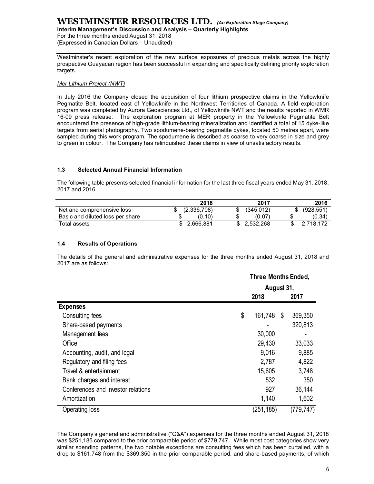Interim Management's Discussion and Analysis – Quarterly Highlights For the three months ended August 31, 2018

(Expressed in Canadian Dollars – Unaudited)

Westminster's recent exploration of the new surface exposures of precious metals across the highly prospective Guayacan region has been successful in expanding and specifically defining priority exploration targets.

#### Mer Lithium Project (NWT)

In July 2016 the Company closed the acquisition of four lithium prospective claims in the Yellowknife Pegmatite Belt, located east of Yellowknife in the Northwest Territiories of Canada. A field exploration program was completed by Aurora Geosciences Ltd., of Yellowknife NWT and the results reported in WMR 16-09 press release. The exploration program at MER property in the Yellowknife Pegmatite Belt encountered the presence of high-grade lithium-bearing mineralization and identified a total of 15 dyke-like targets from aerial photography. Two spodumene-bearing pegmatite dykes, located 50 metres apart, were sampled during this work program. The spodumene is described as coarse to very coarse in size and grey to green in colour. The Company has relinquished these claims in view of unsatisfactory results.

#### 1.3 Selected Annual Financial Information

|                                  | 2018        | 2017      | 2016     |
|----------------------------------|-------------|-----------|----------|
| Net and comprehensive loss       | (2,336,708) | (345.012) | (928.551 |
| Basic and diluted loss per share | (0.10)      | (0.07)    | (0.34)   |
| Total assets                     | 2.666.881   | 2,532,268 | 718.172  |

#### 1.4 Results of Operations

| 1.3<br><b>Selected Annual Financial Information</b>                                                                                                                  |                   |                            |      |                 |
|----------------------------------------------------------------------------------------------------------------------------------------------------------------------|-------------------|----------------------------|------|-----------------|
| The following table presents selected financial information for the last three fiscal years ended May 31, 2018,<br>2017 and 2016.                                    |                   |                            |      |                 |
|                                                                                                                                                                      | 2018              | 2017                       |      | 2016            |
| Net and comprehensive loss                                                                                                                                           | (2,336,708)<br>\$ | \$<br>(345, 012)           | \$   | (928, 551)      |
| Basic and diluted loss per share                                                                                                                                     | \$<br>(0.10)      | \$<br>(0.07)               | \$   | (0.34)          |
| <b>Total assets</b>                                                                                                                                                  | \$2,666,881       | \$2,532,268                | \$   | 2,718,172       |
| 1.4<br><b>Results of Operations</b><br>The details of the general and administrative expenses for the three months ended August 31, 2018 and<br>2017 are as follows: |                   |                            |      |                 |
|                                                                                                                                                                      |                   | <b>Three Months Ended,</b> |      |                 |
|                                                                                                                                                                      |                   | August 31,                 |      |                 |
|                                                                                                                                                                      |                   |                            |      |                 |
|                                                                                                                                                                      |                   | 2018                       | 2017 |                 |
|                                                                                                                                                                      |                   |                            |      |                 |
| <b>Expenses</b>                                                                                                                                                      |                   |                            |      |                 |
| Consulting fees                                                                                                                                                      |                   | \$<br>161,748 \$           |      | 369,350         |
| Share-based payments                                                                                                                                                 |                   |                            |      | 320,813         |
| Management fees<br>Office                                                                                                                                            |                   | 30,000                     |      |                 |
|                                                                                                                                                                      |                   | 29,430                     |      | 33,033          |
| Accounting, audit, and legal                                                                                                                                         |                   | 9,016                      |      | 9,885           |
| Regulatory and filing fees                                                                                                                                           |                   | 2,787                      |      | 4,822           |
| Travel & entertainment                                                                                                                                               |                   | 15,605                     |      | 3,748           |
| Bank charges and interest                                                                                                                                            |                   | 532                        |      | 350             |
| Conferences and investor relations<br>Amortization                                                                                                                   |                   | 927<br>1,140               |      | 36,144<br>1,602 |

The Company's general and administrative ("G&A") expenses for the three months ended August 31, 2018 was \$251,185 compared to the prior comparable period of \$779,747. While most cost categories show very similar spending patterns, the two notable exceptions are consulting fees which has been curtailed, with a drop to \$161,748 from the \$369,350 in the prior comparable period, and share-based payments, of which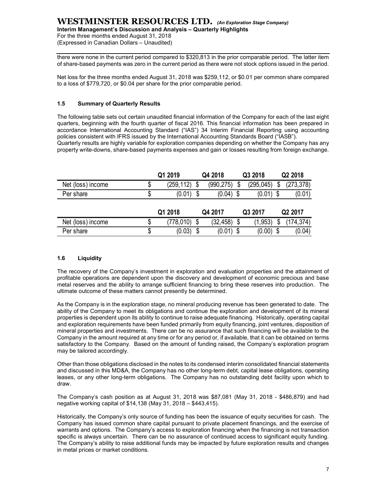#### 1.5 Summary of Quarterly Results

| <b>WESTMINSTER RESOURCES LTD.</b> (An Exploration Stage Company)<br>Interim Management's Discussion and Analysis - Quarterly Highlights<br>For the three months ended August 31, 2018<br>(Expressed in Canadian Dollars - Unaudited)                                                                                                                                                                                                                                                                                                                                                                                                                           |                    |    |                |    |             |                  |  |  |
|----------------------------------------------------------------------------------------------------------------------------------------------------------------------------------------------------------------------------------------------------------------------------------------------------------------------------------------------------------------------------------------------------------------------------------------------------------------------------------------------------------------------------------------------------------------------------------------------------------------------------------------------------------------|--------------------|----|----------------|----|-------------|------------------|--|--|
| there were none in the current period compared to \$320,813 in the prior comparable period. The latter item<br>of share-based payments was zero in the current period as there were not stock options issued in the period.                                                                                                                                                                                                                                                                                                                                                                                                                                    |                    |    |                |    |             |                  |  |  |
| Net loss for the three months ended August 31, 2018 was \$259,112, or \$0.01 per common share compared<br>to a loss of \$779,720, or \$0.04 per share for the prior comparable period.                                                                                                                                                                                                                                                                                                                                                                                                                                                                         |                    |    |                |    |             |                  |  |  |
| 1.5<br><b>Summary of Quarterly Results</b>                                                                                                                                                                                                                                                                                                                                                                                                                                                                                                                                                                                                                     |                    |    |                |    |             |                  |  |  |
| The following table sets out certain unaudited financial information of the Company for each of the last eight<br>quarters, beginning with the fourth quarter of fiscal 2016. This financial information has been prepared in<br>accordance International Accounting Standard ("IAS") 34 Interim Financial Reporting using accounting<br>policies consistent with IFRS issued by the International Accounting Standards Board ("IASB").<br>Quarterly results are highly variable for exploration companies depending on whether the Company has any<br>property write-downs, share-based payments expenses and gain or losses resulting from foreign exchange. | Q1 2019            |    | Q4 2018        |    | Q3 2018     | Q2 2018          |  |  |
| Net (loss) income                                                                                                                                                                                                                                                                                                                                                                                                                                                                                                                                                                                                                                              | \$<br>(259,112)    | -S | (990, 275)     | -S | (295, 045)  | \$<br>(273, 378) |  |  |
| Per share                                                                                                                                                                                                                                                                                                                                                                                                                                                                                                                                                                                                                                                      | \$<br>$(0.01)$ \$  |    | $(0.04)$ \$    |    | $(0.01)$ \$ | (0.01)           |  |  |
|                                                                                                                                                                                                                                                                                                                                                                                                                                                                                                                                                                                                                                                                | Q1 2018            |    | Q4 2017        |    | Q3 2017     | Q2 2017          |  |  |
| Net (loss) income                                                                                                                                                                                                                                                                                                                                                                                                                                                                                                                                                                                                                                              | \$<br>(778,010) \$ |    | $(32, 458)$ \$ |    | (1, 953)    | \$<br>(174, 374) |  |  |
| Per share                                                                                                                                                                                                                                                                                                                                                                                                                                                                                                                                                                                                                                                      | \$<br>$(0.03)$ \$  |    | $(0.01)$ \$    |    | $(0.00)$ \$ | (0.04)           |  |  |
| 1.6<br>Liquidity<br>covery of the Company's investment in evaleration and evaluation preparties and the attainment of                                                                                                                                                                                                                                                                                                                                                                                                                                                                                                                                          |                    |    |                |    |             |                  |  |  |

#### 1.6 Liquidity

The recovery of the Company's investment in exploration and evaluation properties and the attainment of profitable operations are dependent upon the discovery and development of economic precious and base metal reserves and the ability to arrange sufficient financing to bring these reserves into production. The ultimate outcome of these matters cannot presently be determined.

As the Company is in the exploration stage, no mineral producing revenue has been generated to date. The ability of the Company to meet its obligations and continue the exploration and development of its mineral properties is dependent upon its ability to continue to raise adequate financing. Historically, operating capital and exploration requirements have been funded primarily from equity financing, joint ventures, disposition of mineral properties and investments. There can be no assurance that such financing will be available to the Company in the amount required at any time or for any period or, if available, that it can be obtained on terms satisfactory to the Company. Based on the amount of funding raised, the Company's exploration program may be tailored accordingly.

Other than those obligations disclosed in the notes to its condensed interim consolidated financial statements and discussed in this MD&A, the Company has no other long-term debt, capital lease obligations, operating leases, or any other long-term obligations. The Company has no outstanding debt facility upon which to draw.

The Company's cash position as at August 31, 2018 was \$87,081 (May 31, 2018 - \$486,879) and had negative working capital of \$14,138 (May 31, 2018 – \$443,415).

Historically, the Company's only source of funding has been the issuance of equity securities for cash. The Company has issued common share capital pursuant to private placement financings, and the exercise of warrants and options. The Company's access to exploration financing when the financing is not transaction specific is always uncertain. There can be no assurance of continued access to significant equity funding. The Company's ability to raise additional funds may be impacted by future exploration results and changes in metal prices or market conditions.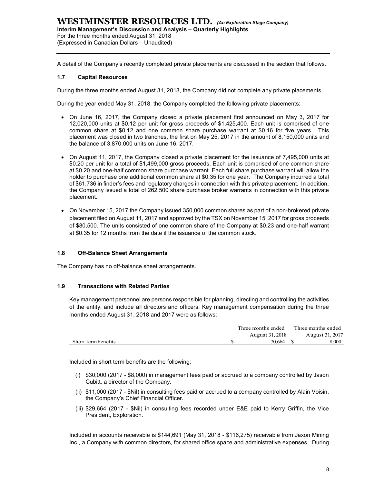#### WESTMINSTER RESOURCES LTD. (An Exploration Stage Company) Interim Management's Discussion and Analysis – Quarterly Highlights For the three months ended August 31, 2018

(Expressed in Canadian Dollars – Unaudited)

A detail of the Company's recently completed private placements are discussed in the section that follows.

#### 1.7 Capital Resources

During the three months ended August 31, 2018, the Company did not complete any private placements.

During the year ended May 31, 2018, the Company completed the following private placements:

- On June 16, 2017, the Company closed a private placement first announced on May 3, 2017 for 12,020,000 units at \$0.12 per unit for gross proceeds of \$1,425,400. Each unit is comprised of one common share at \$0.12 and one common share purchase warrant at \$0.16 for five years. This placement was closed in two tranches, the first on May 25, 2017 in the amount of 8,150,000 units and the balance of 3,870,000 units on June 16, 2017.
- On August 11, 2017, the Company closed a private placement for the issuance of 7,495,000 units at \$0.20 per unit for a total of \$1,499,000 gross proceeds. Each unit is comprised of one common share at \$0.20 and one-half common share purchase warrant. Each full share purchase warrant will allow the holder to purchase one additional common share at \$0.35 for one year. The Company incurred a total of \$61,736 in finder's fees and regulatory charges in connection with this private placement. In addition, the Company issued a total of 262,500 share purchase broker warrants in connection with this private placement. hare purchase warrant will allow the<br>year. The Company incurred a total<br>this private placement. In addition,<br>rrants in connection with this private<br>wember 15, 2017 for gross proceeds<br>pany at \$0.23 and one-half warrant<br>abov
- On November 15, 2017 the Company issued 350,000 common shares as part of a non-brokered private placement filed on August 11, 2017 and approved by the TSX on November 15, 2017 for gross proceeds of \$80,500. The units consisted of one common share of the Company at \$0.23 and one-half warrant at \$0.35 for 12 months from the date if the issuance of the common stock. The Company incurred a total<br>
private placement. In addition,<br>
is in connection with this private<br>
spart of a non-brokered private<br>
spart of a non-brokered private<br>
spart of a non-brokered private<br>
care at \$0.23 and one-h F861.736 in finders fees and regulatory charges in connection with this private placement. In addition,<br>the Company issued a total of 262,500 share purchase broker warrants in connection with this private<br>lacement.<br>In Nove

#### 1.8 Off-Balance Sheet Arrangements

The Company has no off-balance sheet arrangements.

#### 1.9 Transactions with Related Parties

Key management personnel are persons responsible for planning, directing and controlling the activities of the entity, and include all directors and officers. Key management compensation during the three months ended August 31, 2018 and 2017 were as follows:

|                     | Three months ended | Three months ended |
|---------------------|--------------------|--------------------|
|                     | August 31, 2018    | August 31, 2017    |
| Short-term benefits | 70.664             | 8.000              |

Included in short term benefits are the following:

- (i) \$30,000 (2017 \$8,000) in management fees paid or accrued to a company controlled by Jason Cubitt, a director of the Company.
- (ii) \$11,000 (2017 \$Nil) in consulting fees paid or accrued to a company controlled by Alain Voisin, the Company's Chief Financial Officer.
- (iii) \$29,664 (2017 \$Nil) in consulting fees recorded under E&E paid to Kerry Griffin, the Vice President, Exploration.

Included in accounts receivable is \$144,691 (May 31, 2018 - \$116,275) receivable from Jaxon Mining Inc., a Company with common directors, for shared office space and administrative expenses. During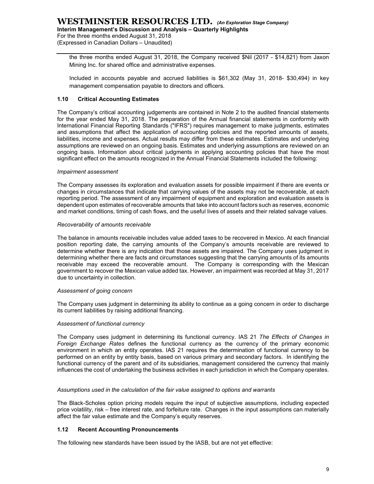For the three months ended August 31, 2018 (Expressed in Canadian Dollars – Unaudited)

> the three months ended August 31, 2018, the Company received \$Nil (2017 - \$14,821) from Jaxon Mining Inc. for shared office and administrative expenses.

> Included in accounts payable and accrued liabilities is \$61,302 (May 31, 2018- \$30,494) in key management compensation payable to directors and officers.

#### 1.10 Critical Accounting Estimates

The Company's critical accounting judgements are contained in Note 2 to the audited financial statements for the year ended May 31, 2018. The preparation of the Annual financial statements in conformity with International Financial Reporting Standards ("IFRS") requires management to make judgments, estimates and assumptions that affect the application of accounting policies and the reported amounts of assets, liabilities, income and expenses. Actual results may differ from these estimates. Estimates and underlying assumptions are reviewed on an ongoing basis. Estimates and underlying assumptions are reviewed on an ongoing basis. Information about critical judgments in applying accounting policies that have the most significant effect on the amounts recognized in the Annual Financial Statements included the following:

#### Impairment assessment

The Company assesses its exploration and evaluation assets for possible impairment if there are events or changes in circumstances that indicate that carrying values of the assets may not be recoverable, at each reporting period. The assessment of any impairment of equipment and exploration and evaluation assets is dependent upon estimates of recoverable amounts that take into account factors such as reserves, economic and market conditions, timing of cash flows, and the useful lives of assets and their related salvage values.

#### Recoverability of amounts receivable

The balance in amounts receivable includes value added taxes to be recovered in Mexico. At each financial position reporting date, the carrying amounts of the Company's amounts receivable are reviewed to determine whether there is any indication that those assets are impaired. The Company uses judgment in determining whether there are facts and circumstances suggesting that the carrying amounts of its amounts receivable may exceed the recoverable amount. The Company is corresponding with the Mexican government to recover the Mexican value added tax. However, an impairment was recorded at May 31, 2017 due to uncertainty in collection.

#### Assessment of going concern

The Company uses judgment in determining its ability to continue as a going concern in order to discharge its current liabilities by raising additional financing.

#### Assessment of functional currency

The Company uses judgment in determining its functional currency. IAS 21 The Effects of Changes in Foreign Exchange Rates defines the functional currency as the currency of the primary economic environment in which an entity operates. IAS 21 requires the determination of functional currency to be performed on an entity by entity basis, based on various primary and secondary factors. In identifying the functional currency of the parent and of its subsidiaries, management considered the currency that mainly influences the cost of undertaking the business activities in each jurisdiction in which the Company operates.

#### Assumptions used in the calculation of the fair value assigned to options and warrants

The Black-Scholes option pricing models require the input of subjective assumptions, including expected price volatility, risk – free interest rate, and forfeiture rate. Changes in the input assumptions can materially affect the fair value estimate and the Company's equity reserves.

#### 1.12 Recent Accounting Pronouncements

The following new standards have been issued by the IASB, but are not yet effective: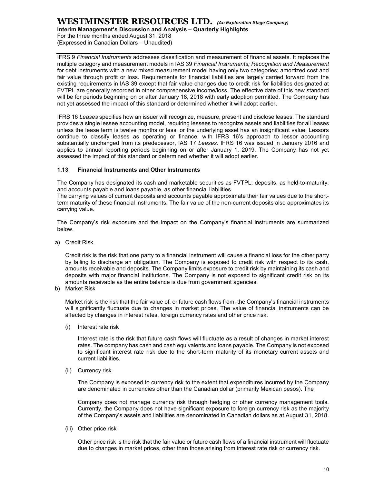Interim Management's Discussion and Analysis – Quarterly Highlights

For the three months ended August 31, 2018 (Expressed in Canadian Dollars – Unaudited)

IFRS 9 Financial Instruments addresses classification and measurement of financial assets. It replaces the multiple category and measurement models in IAS 39 Financial Instruments; Recognition and Measurement for debt instruments with a new mixed measurement model having only two categories; amortized cost and fair value through profit or loss. Requirements for financial liabilities are largely carried forward from the existing requirements in IAS 39 except that fair value changes due to credit risk for liabilities designated at FVTPL are generally recorded in other comprehensive income/loss. The effective date of this new standard will be for periods beginning on or after January 18, 2018 with early adoption permitted. The Company has not yet assessed the impact of this standard or determined whether it will adopt earlier.

IFRS 16 Leases specifies how an issuer will recognize, measure, present and disclose leases. The standard provides a single lessee accounting model, requiring lessees to recognize assets and liabilities for all leases unless the lease term is twelve months or less, or the underlying asset has an insignificant value. Lessors continue to classify leases as operating or finance, with IFRS 16's approach to lessor accounting substantially unchanged from its predecessor, IAS 17 Leases. IFRS 16 was issued in January 2016 and applies to annual reporting periods beginning on or after January 1, 2019. The Company has not yet assessed the impact of this standard or determined whether it will adopt earlier.

#### 1.13 Financial Instruments and Other Instruments

The Company has designated its cash and marketable securities as FVTPL; deposits, as held-to-maturity; and accounts payable and loans payable, as other financial liabilities.

The carrying values of current deposits and accounts payable approximate their fair values due to the shortterm maturity of these financial instruments. The fair value of the non-current deposits also approximates its carrying value.

The Company's risk exposure and the impact on the Company's financial instruments are summarized below.

a) Credit Risk

Credit risk is the risk that one party to a financial instrument will cause a financial loss for the other party by failing to discharge an obligation. The Company is exposed to credit risk with respect to its cash, amounts receivable and deposits. The Company limits exposure to credit risk by maintaining its cash and deposits with major financial institutions. The Company is not exposed to significant credit risk on its amounts receivable as the entire balance is due from government agencies.

b) Market Risk

Market risk is the risk that the fair value of, or future cash flows from, the Company's financial instruments will significantly fluctuate due to changes in market prices. The value of financial instruments can be affected by changes in interest rates, foreign currency rates and other price risk.

(i) Interest rate risk

Interest rate is the risk that future cash flows will fluctuate as a result of changes in market interest rates. The company has cash and cash equivalents and loans payable. The Company is not exposed to significant interest rate risk due to the short-term maturity of its monetary current assets and current liabilities.

(ii) Currency risk

The Company is exposed to currency risk to the extent that expenditures incurred by the Company are denominated in currencies other than the Canadian dollar (primarily Mexican pesos). The

Company does not manage currency risk through hedging or other currency management tools. Currently, the Company does not have significant exposure to foreign currency risk as the majority of the Company's assets and liabilities are denominated in Canadian dollars as at August 31, 2018.

(iii) Other price risk

Other price risk is the risk that the fair value or future cash flows of a financial instrument will fluctuate due to changes in market prices, other than those arising from interest rate risk or currency risk.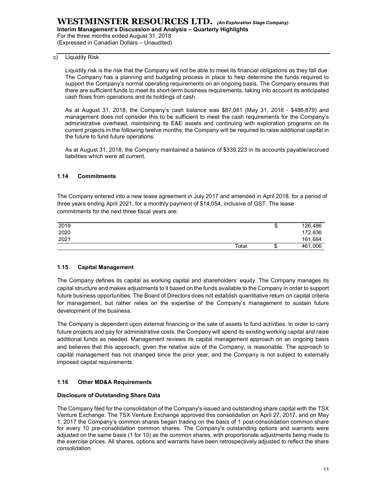(Expressed in Canadian Dollars – Unaudited)

#### c) Liquidity Risk

Liquidity risk is the risk that the Company will not be able to meet its financial obligations as they fall due. The Company has a planning and budgeting process in place to help determine the funds required to support the Company's normal operating requirements on an ongoing basis. The Company ensures that there are sufficient funds to meet its short-term business requirements, taking into account its anticipated cash flows from operations and its holdings of cash. Liquidity risk is the risk that the Company will not be able to meet lis financial obligations as they fall due,<br>The Company has a planning and budgeting process in place to help determine the funds required to<br>support the

As at August 31, 2018, the Company's cash balance was \$87,081 (May 31, 2018 - \$486,879) and management does not consider this to be sufficient to meet the cash requirements for the Company's administrative overhead, maintaining its E&E assets and continuing with exploration programs on its current projects in the following twelve months; the Company will be required to raise additional capital in the future to fund future operations. The Company has a planning and budgeting process in place to help determine the funds requires<br>support the Company's normal operating requirements on an ongoing basis. The Company essues that<br>there are sufficient funds to nts, taking into account its anticipated<br>
81 (May 31, 2018 - \$486,879) and<br>
ash requirements for the Company's<br>
ing with exploration programs on its<br>
required to raise additional capital in<br>
9,223 in its accounts payable/a

As at August 31, 2018, the Company maintained a balance of \$339,223 in its accounts payable/accrued liabilities which were all current.

#### 1.14 Commitments

The Company entered into a new lease agreement in July 2017 and amended in April 2018, for a period of three years ending April 2021, for a monthly payment of \$14,054, inclusive of GST. The lease commitments for the next three fiscal years are:

| 2019 |       | ш. | 126,486 |
|------|-------|----|---------|
| 2020 |       |    | 172,836 |
| 2021 |       |    | 161,684 |
|      | Total | w  | 461.006 |

#### 1.15 Capital Management

The Company defines its capital as working capital and shareholders' equity. The Company manages its capital structure and makes adjustments to it based on the funds available to the Company in order to support future business opportunities. The Board of Directors does not establish quantitative return on capital criteria for management, but rather relies on the expertise of the Company's management to sustain future development of the business.

The Company is dependent upon external financing or the sale of assets to fund activities. In order to carry future projects and pay for administrative costs, the Company will spend its existing working capital and raise additional funds as needed. Management reviews its capital management approach on an ongoing basis and believes that this approach, given the relative size of the Company, is reasonable. The approach to capital management has not changed since the prior year, and the Company is not subject to externally imposed capital requirements.

#### 1.16 Other MD&A Requirements

#### Disclosure of Outstanding Share Data

The Company filed for the consolidation of the Company's issued and outstanding share capital with the TSX Venture Exchange. The TSX Venture Exchange approved this consolidation on April 27, 2017, and on May 1, 2017 the Company's common shares began trading on the basis of 1 post-consolidation common share for every 10 pre-consolidation common shares. The Company's outstanding options and warrants were adjusted on the same basis (1 for 10) as the common shares, with proportionate adjustments being made to the exercise prices. All shares, options and warrants have been retrospectively adjusted to reflect the share consolidation.